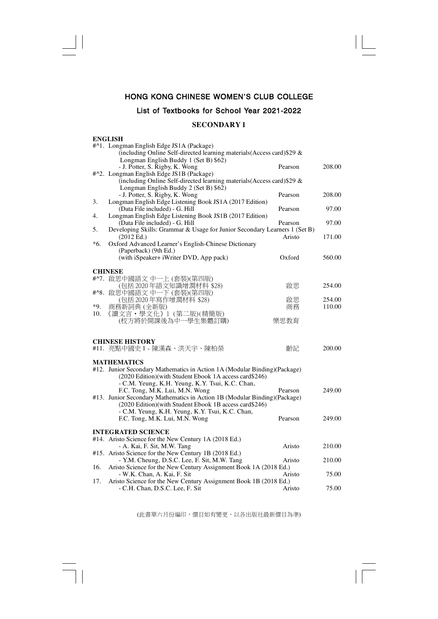## **HONG KONG CHINESE WOMEN'S CLUB COLLEGE**

## **List of Textbooks for School Year 2021-2022**

## **SECONDARY 1**

#### **ENGLISH**

 $\Box$ 

|     | #^1. Longman English Edge JS1A (Package)                                             |         |        |
|-----|--------------------------------------------------------------------------------------|---------|--------|
|     | (including Online Self-directed learning materials(Access card)\$29 &                |         |        |
|     | Longman English Buddy 1 (Set B) \$62)                                                |         |        |
|     | - J. Potter, S. Rigby, K. Wong                                                       | Pearson | 208.00 |
|     | #^2. Longman English Edge JS1B (Package)                                             |         |        |
|     | (including Online Self-directed learning materials (Access card) \$29 &              |         |        |
|     | Longman English Buddy 2 (Set B) \$62)                                                |         |        |
|     | - J. Potter, S. Rigby, K. Wong                                                       | Pearson | 208.00 |
| 3.  | Longman English Edge Listening Book JS1A (2017 Edition)                              |         |        |
|     | (Data File included) - G. Hill                                                       | Pearson | 97.00  |
| 4.  | Longman English Edge Listening Book JS1B (2017 Edition)                              |         |        |
|     | (Data File included) - G. Hill                                                       | Pearson | 97.00  |
| 5.  | Developing Skills: Grammar & Usage for Junior Secondary Learners 1 (Set B)           |         |        |
|     | (2012 Ed.)                                                                           | Aristo  | 171.00 |
| *6. | Oxford Advanced Learner's English-Chinese Dictionary                                 |         |        |
|     | (Paperback) (9th Ed.)                                                                |         |        |
|     | (with iSpeaker+ iWriter DVD, App pack)                                               | Oxford  | 560.00 |
|     |                                                                                      |         |        |
|     | <b>CHINESE</b>                                                                       |         |        |
|     | #^7. 啟思中國語文 中一上 (套裝)(第四版)                                                            |         |        |
|     | (包括 2020年語文知識增潤材料 \$28)                                                              | 啟思      | 254.00 |
|     | #^8. 啟思中國語文中一下 (套裝)(第四版)                                                             |         |        |
|     | (包括2020年寫作增潤材料 \$28)                                                                 | 啟思      | 254.00 |
| *9. | 商務新詞典 (全新版)                                                                          | 商務      | 110.00 |
| 10. | 《讀文言・學文化》1 (第二版)(精簡版)                                                                |         |        |
|     | (校方將於開課後為中一學生集體訂購)                                                                   | 樂思教育    |        |
|     |                                                                                      |         |        |
|     |                                                                                      |         |        |
|     | <b>CHINESE HISTORY</b>                                                               |         |        |
|     | #11. 亮點中國史 1 - 陳漢森、洪天宇、陳柏榮                                                           | 齡記      | 200.00 |
|     |                                                                                      |         |        |
|     | <b>MATHEMATICS</b>                                                                   |         |        |
|     | #12. Junior Secondary Mathematics in Action 1A (Modular Binding)(Package)            |         |        |
|     | (2020 Edition)(with Student Ebook 1A access card\$246)                               |         |        |
|     | - C.M. Yeung, K.H. Yeung, K.Y. Tsui, K.C. Chan,                                      |         |        |
|     | F.C. Tong, M.K. Lui, M.N. Wong                                                       | Pearson | 249.00 |
|     | #13. Junior Secondary Mathematics in Action 1B (Modular Binding)(Package)            |         |        |
|     | (2020 Edition)(with Student Ebook 1B access card\$246)                               |         |        |
|     |                                                                                      |         |        |
|     | - C.M. Yeung, K.H. Yeung, K.Y. Tsui, K.C. Chan,                                      |         | 249.00 |
|     | F.C. Tong, M.K. Lui, M.N. Wong                                                       | Pearson |        |
|     | <b>INTEGRATED SCIENCE</b>                                                            |         |        |
|     | #14. Aristo Science for the New Century 1A (2018 Ed.)                                |         |        |
|     |                                                                                      | Aristo  |        |
|     | - A. Kai, F. Sit, M.W. Tang<br>#15. Aristo Science for the New Century 1B (2018 Ed.) |         | 210.00 |
|     |                                                                                      |         |        |
|     | - Y.M. Cheung, D.S.C. Lee, F. Sit, M.W. Tang                                         | Aristo  | 210.00 |
| 16. | Aristo Science for the New Century Assignment Book 1A (2018 Ed.)                     |         |        |
|     | - W.K. Chan, A. Kai, F. Sit                                                          | Aristo  | 75.00  |
| 17. | Aristo Science for the New Century Assignment Book 1B (2018 Ed.)                     |         |        |
|     | - C.H. Chan, D.S.C. Lee, F. Sit                                                      | Aristo  | 75.00  |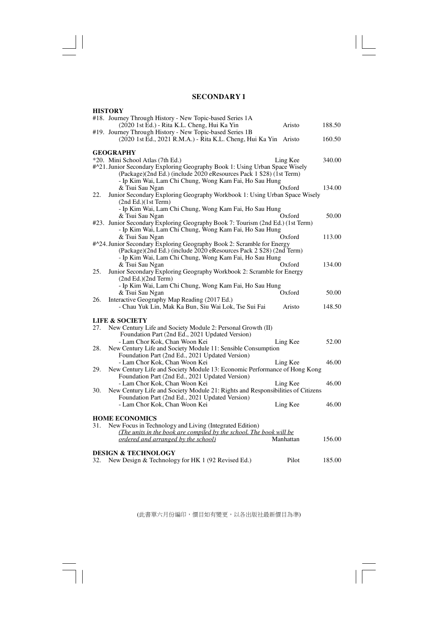$\sqrt{\frac{1}{\Gamma}}$ 

 $\begin{array}{c|c} \hline \quad \quad & \quad \quad & \quad \quad \\ \hline \quad \quad & \quad \quad & \quad \quad \\ \hline \end{array}$ 

 $\overline{\overline{\overline{1}}}$ 

|     | <b>HISTORY</b>                                                                                                                           |           |        |
|-----|------------------------------------------------------------------------------------------------------------------------------------------|-----------|--------|
|     | #18. Journey Through History - New Topic-based Series 1A                                                                                 |           |        |
|     | (2020 1st Ed.) - Rita K.L. Cheng, Hui Ka Yin                                                                                             | Aristo    | 188.50 |
|     | #19. Journey Through History - New Topic-based Series 1B                                                                                 |           |        |
|     | (2020 1st Ed., 2021 R.M.A.) - Rita K.L. Cheng, Hui Ka Yin Aristo                                                                         |           | 160.50 |
|     |                                                                                                                                          |           |        |
|     | <b>GEOGRAPHY</b>                                                                                                                         |           |        |
|     | *20. Mini School Atlas (7th Ed.)                                                                                                         | Ling Kee  | 340.00 |
|     | #^21. Junior Secondary Exploring Geography Book 1: Using Urban Space Wisely                                                              |           |        |
|     | (Package)(2nd Ed.) (include 2020 eResources Pack 1 \$28) (1st Term)                                                                      |           |        |
|     | - Ip Kim Wai, Lam Chi Chung, Wong Kam Fai, Ho Sau Hung                                                                                   |           |        |
|     | & Tsui Sau Ngan                                                                                                                          | Oxford    | 134.00 |
| 22. | Junior Secondary Exploring Geography Workbook 1: Using Urban Space Wisely                                                                |           |        |
|     | (2nd Ed.)(1st Term)                                                                                                                      |           |        |
|     | - Ip Kim Wai, Lam Chi Chung, Wong Kam Fai, Ho Sau Hung                                                                                   |           |        |
|     | & Tsui Sau Ngan                                                                                                                          | Oxford    | 50.00  |
|     | #23. Junior Secondary Exploring Geography Book 7: Tourism (2nd Ed.) (1st Term)<br>- Ip Kim Wai, Lam Chi Chung, Wong Kam Fai, Ho Sau Hung |           |        |
|     |                                                                                                                                          | Oxford    |        |
|     | & Tsui Sau Ngan<br>#^24. Junior Secondary Exploring Geography Book 2: Scramble for Energy                                                |           | 113.00 |
|     | (Package)(2nd Ed.) (include 2020 eResources Pack 2 \$28) (2nd Term)                                                                      |           |        |
|     | - Ip Kim Wai, Lam Chi Chung, Wong Kam Fai, Ho Sau Hung                                                                                   |           |        |
|     | & Tsui Sau Ngan                                                                                                                          | Oxford    | 134.00 |
| 25. | Junior Secondary Exploring Geography Workbook 2: Scramble for Energy                                                                     |           |        |
|     | (2nd Ed.)(2nd Term)                                                                                                                      |           |        |
|     | - Ip Kim Wai, Lam Chi Chung, Wong Kam Fai, Ho Sau Hung                                                                                   |           |        |
|     | & Tsui Sau Ngan                                                                                                                          | Oxford    | 50.00  |
| 26. | Interactive Geography Map Reading (2017 Ed.)                                                                                             |           |        |
|     | - Chau Yuk Lin, Mak Ka Bun, Siu Wai Lok, Tse Sui Fai                                                                                     | Aristo    | 148.50 |
|     |                                                                                                                                          |           |        |
|     | <b>LIFE &amp; SOCIETY</b>                                                                                                                |           |        |
| 27. | New Century Life and Society Module 2: Personal Growth (II)                                                                              |           |        |
|     | Foundation Part (2nd Ed., 2021 Updated Version)                                                                                          |           |        |
|     | - Lam Chor Kok, Chan Woon Kei                                                                                                            | Ling Kee  | 52.00  |
| 28. | New Century Life and Society Module 11: Sensible Consumption                                                                             |           |        |
|     | Foundation Part (2nd Ed., 2021 Updated Version)                                                                                          |           |        |
|     | - Lam Chor Kok, Chan Woon Kei                                                                                                            | Ling Kee  | 46.00  |
| 29. | New Century Life and Society Module 13: Economic Performance of Hong Kong                                                                |           |        |
|     | Foundation Part (2nd Ed., 2021 Updated Version)<br>- Lam Chor Kok, Chan Woon Kei                                                         |           | 46.00  |
| 30. | New Century Life and Society Module 21: Rights and Responsibilities of Citizens                                                          | Ling Kee  |        |
|     | Foundation Part (2nd Ed., 2021 Updated Version)                                                                                          |           |        |
|     | - Lam Chor Kok, Chan Woon Kei                                                                                                            | Ling Kee  | 46.00  |
|     |                                                                                                                                          |           |        |
|     | <b>HOME ECONOMICS</b>                                                                                                                    |           |        |
| 31. | New Focus in Technology and Living (Integrated Edition)                                                                                  |           |        |
|     | (The units in the book are compiled by the school. The book will be                                                                      |           |        |
|     | ordered and arranged by the school)                                                                                                      | Manhattan | 156.00 |
|     |                                                                                                                                          |           |        |
|     | <b>DESIGN &amp; TECHNOLOGY</b>                                                                                                           |           |        |
| 32. | New Design & Technology for HK 1 (92 Revised Ed.)                                                                                        | Pilot     | 185.00 |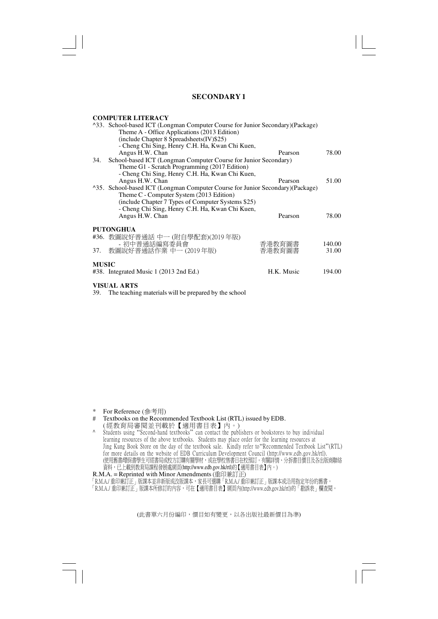#### **COMPUTER LITERACY**

|              | <sup>1</sup> 33. School-based ICT (Longman Computer Course for Junior Secondary) (Package)<br>Theme A - Office Applications (2013 Edition)<br>(include Chapter 8 Spreadsheets(IV)\$25)<br>- Cheng Chi Sing, Henry C.H. Ha, Kwan Chi Kuen,                         |            |        |
|--------------|-------------------------------------------------------------------------------------------------------------------------------------------------------------------------------------------------------------------------------------------------------------------|------------|--------|
|              | Angus H.W. Chan                                                                                                                                                                                                                                                   | Pearson    | 78.00  |
| 34.          | School-based ICT (Longman Computer Course for Junior Secondary)<br>Theme G1 - Scratch Programming (2017 Edition)<br>- Cheng Chi Sing, Henry C.H. Ha, Kwan Chi Kuen,                                                                                               |            |        |
|              | Angus H.W. Chan                                                                                                                                                                                                                                                   | Pearson    | 51.00  |
|              | <sup>^35</sup> . School-based ICT (Longman Computer Course for Junior Secondary)(Package)<br>Theme C - Computer System (2013 Edition)<br>(include Chapter 7 Types of Computer Systems \$25)<br>- Cheng Chi Sing, Henry C.H. Ha, Kwan Chi Kuen,<br>Angus H.W. Chan | Pearson    | 78.00  |
|              | <b>PUTONGHUA</b>                                                                                                                                                                                                                                                  |            |        |
|              | #36. 教圖說好普通話 中一 (附自學配套)(2019年版)<br>- 初中普通話編寫委員會                                                                                                                                                                                                                   | 香港教育圖書     | 140.00 |
|              | 37. 教圖說好普通話作業 中一 (2019年版)                                                                                                                                                                                                                                         | 香港教育圖書     | 31.00  |
| <b>MUSIC</b> | $\#38$ . Integrated Music 1 (2013 2nd Ed.)                                                                                                                                                                                                                        | H.K. Music | 194.00 |

**VISUAL ARTS**

39. The teaching materials will be prepared by the school

\* For Reference (參考用)<br># Textbooks on the Recom

#### Textbooks on the Recommended Textbook List (RTL) issued by EDB. ( 經教育局審閱並刊載於【適用書目表】內。)

- 
- ^ Students using "Second-hand textbooks" can contact the publishers or bookstores to buy individual learning resources of the above textbooks. Students may place order for the learning resources at Jing Kung Book Store on the day of the textbook sale. Kindly refer to"Recommended Textbook List"(RTL) for more details on the website of EDB Curriculum Development Council (http://www.edb.gov.hk/rtl). (使用售書/環保書學生可經書局或校方訂購有關學材,或在學校售書日在校預訂。有關評情、分拆書目價目及各出版商聯絡 資料,已上載到教育局課程發展處網頁(http://www.edb.gov.hk/rtl)的【適用書目表】內。)

R.M.A. = Reprinted with Minor Amendments (重印兼訂正)

「R.M.A./ 重印兼訂正」版課本並非新版或改版課本,家長可選購「R.M.A./ 重印兼訂正」版課本或沿用指定年份的舊書。 「R.M.A./ 重印兼訂正」版課本所修訂的內容,可在【適用書目表】網頁內(http://www.edb.gov.hk/rtl)的「勘誤表」欄查閱。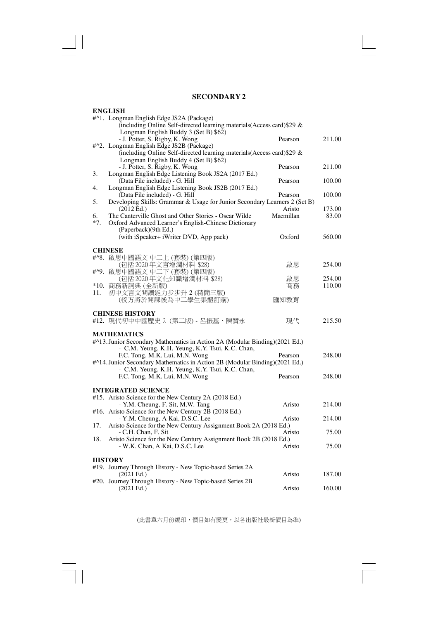$\mathbb{I} \bigsqcup_{\underline{\hspace{1em}}}$ 

 $\sqrt{\frac{1}{\sqrt{2}}}$ 

 $\overline{\mathbb{R}}$ 

| <b>ENGLISH</b>                                                                   |           |        |
|----------------------------------------------------------------------------------|-----------|--------|
| #^1. Longman English Edge JS2A (Package)                                         |           |        |
| (including Online Self-directed learning materials(Access card) \$29 &           |           |        |
| Longman English Buddy 3 (Set B) \$62)                                            |           |        |
| - J. Potter, S. Rigby, K. Wong                                                   | Pearson   | 211.00 |
| #^2. Longman English Edge JS2B (Package)                                         |           |        |
| (including Online Self-directed learning materials (Access card) \$29 &          |           |        |
| Longman English Buddy 4 (Set B) \$62)                                            |           |        |
| - J. Potter, S. Rigby, K. Wong                                                   | Pearson   | 211.00 |
| Longman English Edge Listening Book JS2A (2017 Ed.)<br>3.                        |           |        |
| (Data File included) - G. Hill                                                   | Pearson   | 100.00 |
| Longman English Edge Listening Book JS2B (2017 Ed.)<br>4.                        |           |        |
| (Data File included) - G. Hill                                                   | Pearson   | 100.00 |
| Developing Skills: Grammar & Usage for Junior Secondary Learners 2 (Set B)<br>5. |           |        |
| (2012 Ed.)                                                                       | Aristo    | 173.00 |
| 6.<br>The Canterville Ghost and Other Stories - Oscar Wilde                      | Macmillan | 83.00  |
| $*7.$<br>Oxford Advanced Learner's English-Chinese Dictionary                    |           |        |
| (Paperback)(9th Ed.)                                                             |           |        |
| (with iSpeaker+ iWriter DVD, App pack)                                           | Oxford    | 560.00 |
|                                                                                  |           |        |
| <b>CHINESE</b>                                                                   |           |        |
| #^8. 啟思中國語文 中二上 (套裝) (第四版)                                                       |           |        |
| (包括 2020年文言增潤材料 \$28)                                                            | 啟思        | 254.00 |
| #^9. 啟思中國語文 中二下 (套裝) (第四版)                                                       |           |        |
| (包括2020年文化知識增潤材料 \$28)                                                           | 啟思        | 254.00 |
| *10. 商務新詞典 (全新版)                                                                 | 商務        | 110.00 |
| 初中文言文閱讀能力步步升 2 (精簡三版)<br>11.                                                     |           |        |
| (校方將於開課後為中二學生集體訂購)                                                               | 匯知教育      |        |
|                                                                                  |           |        |
| <b>CHINESE HISTORY</b>                                                           |           |        |
| #12. 現代初中中國歷史 2 (第二版) - 呂振基、陳贊永                                                  | 現代        | 215.50 |
|                                                                                  |           |        |
| <b>MATHEMATICS</b>                                                               |           |        |
| #^13. Junior Secondary Mathematics in Action 2A (Modular Binding)(2021 Ed.)      |           |        |
| - C.M. Yeung, K.H. Yeung, K.Y. Tsui, K.C. Chan,                                  |           |        |
| F.C. Tong, M.K. Lui, M.N. Wong                                                   | Pearson   | 248.00 |
| #^14. Junior Secondary Mathematics in Action 2B (Modular Binding)(2021 Ed.)      |           |        |
| - C.M. Yeung, K.H. Yeung, K.Y. Tsui, K.C. Chan,                                  |           |        |
| F.C. Tong, M.K. Lui, M.N. Wong                                                   | Pearson   | 248.00 |
|                                                                                  |           |        |
| <b>INTEGRATED SCIENCE</b>                                                        |           |        |
| #15. Aristo Science for the New Century 2A (2018 Ed.)                            |           |        |
| - Y.M. Cheung, F. Sit, M.W. Tang                                                 | Aristo    | 214.00 |
| #16. Aristo Science for the New Century 2B (2018 Ed.)                            |           |        |
| - Y.M. Cheung, A Kai, D.S.C. Lee                                                 | Aristo    | 214.00 |
| Aristo Science for the New Century Assignment Book 2A (2018 Ed.)<br>17.          |           |        |
| - C.H. Chan, F. Sit                                                              | Aristo    | 75.00  |
| 18.<br>Aristo Science for the New Century Assignment Book 2B (2018 Ed.)          |           |        |
| - W.K. Chan, A Kai, D.S.C. Lee                                                   | Aristo    | 75.00  |
|                                                                                  |           |        |
| <b>HISTORY</b>                                                                   |           |        |
| #19. Journey Through History - New Topic-based Series 2A                         |           |        |
| $(2021 \text{ Ed.})$                                                             | Aristo    | 187.00 |
| #20. Journey Through History - New Topic-based Series 2B                         |           |        |
| $(2021 \text{ Ed.})$                                                             | Aristo    | 160.00 |
|                                                                                  |           |        |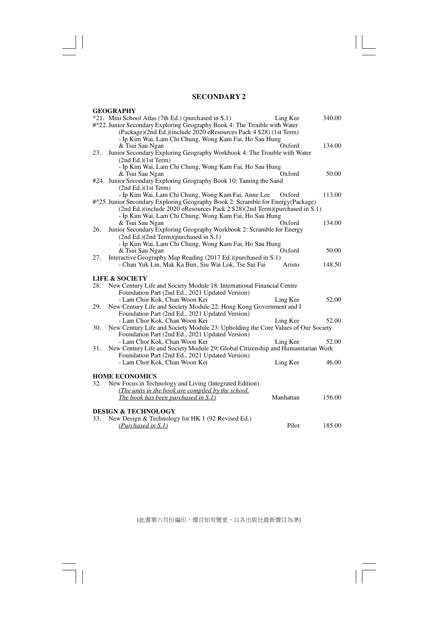$\sqrt{2}$ 

 $\mathbf{\underline{}}$ 

 $\overline{\overline{\mathbb{u}}}$ 

|     | <b>GEOGRAPHY</b>                                                                                                                 |           |        |
|-----|----------------------------------------------------------------------------------------------------------------------------------|-----------|--------|
|     | *21. Mini School Atlas (7th Ed.) (purchased in S.1)<br>#^22. Junior Secondary Exploring Geography Book 4: The Trouble with Water | Ling Kee  | 340.00 |
|     | (Package)(2nd Ed.)(include 2020 eResources Pack 4 \$28) (1st Term)                                                               |           |        |
|     | - Ip Kim Wai, Lam Chi Chung, Wong Kam Fai, Ho Sau Hung                                                                           |           |        |
|     | & Tsui Sau Ngan                                                                                                                  | Oxford    | 134.00 |
| 23. | Junior Secondary Exploring Geography Workbook 4: The Trouble with Water                                                          |           |        |
|     | (2nd Ed.)(1st Term)                                                                                                              |           |        |
|     | - Ip Kim Wai, Lam Chi Chung, Wong Kam Fai, Ho Sau Hung                                                                           | Oxford    |        |
|     | & Tsui Sau Ngan<br>#24. Junior Secondary Exploring Geography Book 10: Taming the Sand                                            |           | 50.00  |
|     | (2nd Ed.)(1st Term)                                                                                                              |           |        |
|     | - Ip Kim Wai, Lam Chi Chung, Wong Kam Fai, Anne Lee                                                                              | Oxford    | 113.00 |
|     | #^25. Junior Secondary Exploring Geography Book 2: Scramble for Energy(Package)                                                  |           |        |
|     | (2nd Ed.)(include 2020 eResources Pack 2 \$28)(2nd Term)(purchased in S.1)                                                       |           |        |
|     | - Ip Kim Wai, Lam Chi Chung, Wong Kam Fai, Ho Sau Hung                                                                           |           |        |
|     | & Tsui Sau Ngan                                                                                                                  | Oxford    | 134.00 |
| 26. | Junior Secondary Exploring Geography Workbook 2: Scramble for Energy                                                             |           |        |
|     | (2nd Ed.)(2nd Term)(purchased in S.1)                                                                                            |           |        |
|     | - Ip Kim Wai, Lam Chi Chung, Wong Kam Fai, Ho Sau Hung<br>& Tsui Sau Ngan                                                        | Oxford    | 50.00  |
| 27. | Interactive Geography Map Reading (2017 Ed.)(purchased in S.1)                                                                   |           |        |
|     | - Chau Yuk Lin, Mak Ka Bun, Siu Wai Lok, Tse Sui Fai                                                                             | Aristo    | 148.50 |
|     |                                                                                                                                  |           |        |
|     | <b>LIFE &amp; SOCIETY</b>                                                                                                        |           |        |
| 28. | New Century Life and Society Module 18: International Financial Centre                                                           |           |        |
|     | Foundation Part (2nd Ed., 2021 Updated Version)                                                                                  |           |        |
|     | - Lam Chor Kok, Chan Woon Kei                                                                                                    | Ling Kee  | 52.00  |
| 29. | New Century Life and Society Module 22: Hong Kong Government and I<br>Foundation Part (2nd Ed., 2021 Updated Version)            |           |        |
|     | - Lam Chor Kok, Chan Woon Kei                                                                                                    | Ling Kee  | 52.00  |
| 30. | New Century Life and Society Module 23: Upholding the Core Values of Our Society                                                 |           |        |
|     | Foundation Part (2nd Ed., 2021 Updated Version)                                                                                  |           |        |
|     | - Lam Chor Kok, Chan Woon Kei                                                                                                    | Ling Kee  | 52.00  |
| 31. | New Century Life and Society Module 29: Global Citizenship and Humanitarian Work                                                 |           |        |
|     | Foundation Part (2nd Ed., 2021 Updated Version)                                                                                  |           |        |
|     | - Lam Chor Kok, Chan Woon Kei                                                                                                    | Ling Kee  | 46.00  |
|     | <b>HOME ECONOMICS</b>                                                                                                            |           |        |
| 32. | New Focus in Technology and Living (Integrated Edition)                                                                          |           |        |
|     | (The units in the book are compiled by the school.                                                                               |           |        |
|     | The book has been purchased in S.1)                                                                                              | Manhattan | 156.00 |
|     |                                                                                                                                  |           |        |
|     | <b>DESIGN &amp; TECHNOLOGY</b>                                                                                                   |           |        |
| 33. | New Design & Technology for HK 1 (92 Revised Ed.)                                                                                |           |        |
|     | (Purchased in S.1)                                                                                                               | Pilot     | 185.00 |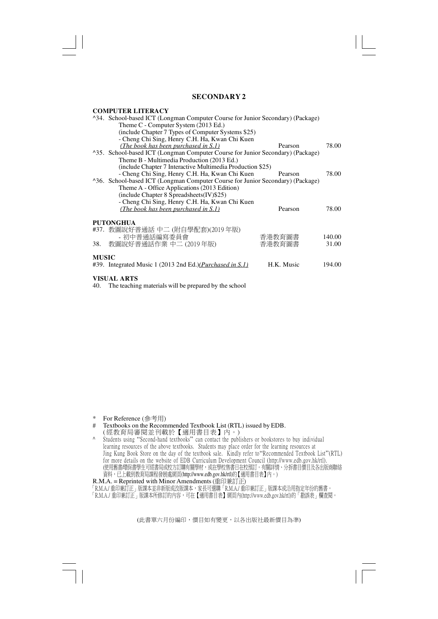#### **COMPUTER LITERACY**

|                                                                                            | <sup>1</sup> 34. School-based ICT (Longman Computer Course for Junior Secondary) (Package) |        |  |  |
|--------------------------------------------------------------------------------------------|--------------------------------------------------------------------------------------------|--------|--|--|
| Theme C - Computer System (2013 Ed.)                                                       |                                                                                            |        |  |  |
| (include Chapter 7 Types of Computer Systems \$25)                                         |                                                                                            |        |  |  |
| - Cheng Chi Sing, Henry C.H. Ha, Kwan Chi Kuen                                             |                                                                                            |        |  |  |
| (The book has been purchased in S.1)                                                       | Pearson                                                                                    | 78.00  |  |  |
| <sup>1</sup> 35. School-based ICT (Longman Computer Course for Junior Secondary) (Package) |                                                                                            |        |  |  |
| Theme B - Multimedia Production (2013 Ed.)                                                 |                                                                                            |        |  |  |
| (include Chapter 7 Interactive Multimedia Production \$25)                                 |                                                                                            |        |  |  |
| - Cheng Chi Sing, Henry C.H. Ha, Kwan Chi Kuen                                             | Pearson                                                                                    | 78.00  |  |  |
| <sup>^36</sup> . School-based ICT (Longman Computer Course for Junior Secondary) (Package) |                                                                                            |        |  |  |
| Theme A - Office Applications (2013 Edition)                                               |                                                                                            |        |  |  |
| (include Chapter 8 Spreadsheets(IV)\$25)                                                   |                                                                                            |        |  |  |
| - Cheng Chi Sing, Henry C.H. Ha, Kwan Chi Kuen                                             |                                                                                            |        |  |  |
| (The book has been purchased in S.1)                                                       | Pearson                                                                                    | 78.00  |  |  |
|                                                                                            |                                                                                            |        |  |  |
| <b>PUTONGHUA</b>                                                                           |                                                                                            |        |  |  |
| #37. 教圖說好普通話 中二 (附自學配套)(2019年版)                                                            |                                                                                            |        |  |  |
| - 初中普通話編寫委員會                                                                               | 香港教育圖書                                                                                     | 140.00 |  |  |
| 教圖說好普通話作業 中二 (2019年版)<br>38.                                                               | 香港教育圖書                                                                                     | 31.00  |  |  |
| <b>MUSIC</b>                                                                               |                                                                                            |        |  |  |
| #39. Integrated Music 1 (2013 2nd Ed.)( <i>Purchased in S.1</i> )                          | H.K. Music                                                                                 | 194.00 |  |  |
|                                                                                            |                                                                                            |        |  |  |
| <b>VISUAL ARTS</b>                                                                         |                                                                                            |        |  |  |

40. The teaching materials will be prepared by the school

- \* For Reference (參考用)<br># Textbooks on the Recom
- # Textbooks on the Recommended Textbook List (RTL) issued by EDB.
- ( 經教育局審閱並刊載於【適用書目表】內。)
- ^ Students using "Second-hand textbooks" can contact the publishers or bookstores to buy individual learning resources of the above textbooks. Students may place order for the learning resources at Jing Kung Book Store on the day of the textbook sale. Kindly refer to"Recommended Textbook List"(RTL) for more details on the website of EDB Curriculum Development Council (http://www.edb.gov.hk/rtl). (使用售書/環保書學生可經書局或校方訂購有關學材,或在學校售書日在校預訂。有關評情、分拆書目價目及各出版商聯絡 資料,已上載到教育局課程發展處網頁(http://www.edb.gov.hk/rtl)的【適用書目表】內。)

R.M.A. = Reprinted with Minor Amendments (重印兼訂正)

「R.M.A./ 重印兼訂正」版課本並非新版或改版課本,豕長可選購「R.M.A./ 重印兼訂正」版課本或冶用指定年份的售書。

「R.M.A./ 重印兼訂止」版課本所修訂的內容,可在【適用書目表】網貝內(http://www.edb.gov.hk/rtl)的「勘誤表」欄查閱。」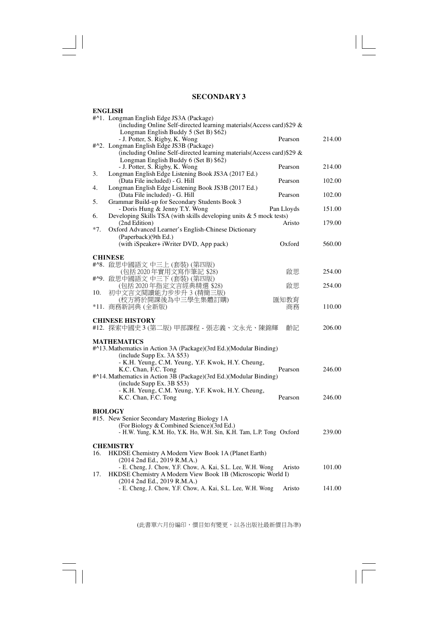$\sqrt{2}$ 

 $\mathrel{\underline{\sqcup}}$ 

 $\overline{\overline{\mathbb{u}}}$ 

|       | <b>ENGLISH</b>                                                                             |            |        |
|-------|--------------------------------------------------------------------------------------------|------------|--------|
|       | #^1. Longman English Edge JS3A (Package)                                                   |            |        |
|       | (including Online Self-directed learning materials(Access card) \$29 &                     |            |        |
|       | Longman English Buddy 5 (Set B) \$62)                                                      |            |        |
|       | - J. Potter, S. Rigby, K. Wong                                                             | Pearson    | 214.00 |
|       | #^2. Longman English Edge JS3B (Package)                                                   |            |        |
|       | (including Online Self-directed learning materials (Access card) \$29 &                    |            |        |
|       | Longman English Buddy 6 (Set B) \$62)                                                      |            |        |
|       | - J. Potter, S. Rigby, K. Wong                                                             | Pearson    | 214.00 |
| 3.    | Longman English Edge Listening Book JS3A (2017 Ed.)                                        |            |        |
|       | (Data File included) - G. Hill                                                             | Pearson    | 102.00 |
| 4.    | Longman English Edge Listening Book JS3B (2017 Ed.)<br>(Data File included) - G. Hill      | Pearson    | 102.00 |
| 5.    | Grammar Build-up for Secondary Students Book 3                                             |            |        |
|       | - Doris Hung & Jenny T.Y. Wong                                                             | Pan Lloyds | 151.00 |
| 6.    | Developing Skills TSA (with skills developing units & 5 mock tests)                        |            |        |
|       | (2nd Edition)                                                                              | Aristo     | 179.00 |
| $*7.$ | Oxford Advanced Learner's English-Chinese Dictionary                                       |            |        |
|       | (Paperback)(9th Ed.)                                                                       |            |        |
|       | (with iSpeaker+ iWriter DVD, App pack)                                                     | Oxford     | 560.00 |
|       |                                                                                            |            |        |
|       | <b>CHINESE</b>                                                                             |            |        |
|       | #^8. 啟思中國語文中三上 (套裝) (第四版)                                                                  |            |        |
|       | (包括 2020年實用文寫作筆記 \$28)                                                                     | 啟思         | 254.00 |
|       | #^9. 啟思中國語文中三下 (套裝) (第四版)                                                                  |            |        |
|       | (包括2020年指定文言經典精選 \$28)                                                                     | 啟思         | 254.00 |
| 10.   | 初中文言文閱讀能力步步升 3 (精簡三版)                                                                      |            |        |
|       | (校方將於開課後為中三學生集體訂購)                                                                         | 匯知教育       |        |
|       | *11. 商務新詞典 (全新版)                                                                           | 商務         | 110.00 |
|       |                                                                                            |            |        |
|       | <b>CHINESE HISTORY</b>                                                                     |            | 206.00 |
|       | #12. 探索中國史3 (第二版) 甲部課程 - 張志義、文永光、陳錦輝                                                       | 齡記         |        |
|       | <b>MATHEMATICS</b>                                                                         |            |        |
|       | #^13. Mathematics in Action 3A (Package)(3rd Ed.)(Modular Binding)                         |            |        |
|       | (include Supp Ex. 3A \$53)                                                                 |            |        |
|       | - K.H. Yeung, C.M. Yeung, Y.F. Kwok, H.Y. Cheung,                                          |            |        |
|       | K.C. Chan, F.C. Tong                                                                       | Pearson    | 246.00 |
|       | #^14. Mathematics in Action 3B (Package)(3rd Ed.)(Modular Binding)                         |            |        |
|       | (include Supp Ex. 3B \$53)                                                                 |            |        |
|       | - K.H. Yeung, C.M. Yeung, Y.F. Kwok, H.Y. Cheung,                                          |            |        |
|       | K.C. Chan, F.C. Tong                                                                       | Pearson    | 246.00 |
|       |                                                                                            |            |        |
|       | <b>BIOLOGY</b>                                                                             |            |        |
|       | #15. New Senior Secondary Mastering Biology 1A                                             |            |        |
|       | (For Biology & Combined Science)(3rd Ed.)                                                  |            |        |
|       | - H.W. Yung, K.M. Ho, Y.K. Ho, W.H. Sin, K.H. Tam, L.P. Tong Oxford                        |            | 239.00 |
|       |                                                                                            |            |        |
|       | <b>CHEMISTRY</b>                                                                           |            |        |
| 16.   | HKDSE Chemistry A Modern View Book 1A (Planet Earth)                                       |            |        |
|       | (2014 2nd Ed., 2019 R.M.A.)                                                                |            |        |
|       | - E. Cheng, J. Chow, Y.F. Chow, A. Kai, S.L. Lee, W.H. Wong                                | Aristo     | 101.00 |
| 17.   | HKDSE Chemistry A Modern View Book 1B (Microscopic World I)<br>(2014 2nd Ed., 2019 R.M.A.) |            |        |
|       | - E. Cheng, J. Chow, Y.F. Chow, A. Kai, S.L. Lee, W.H. Wong                                | Aristo     | 141.00 |
|       |                                                                                            |            |        |
|       |                                                                                            |            |        |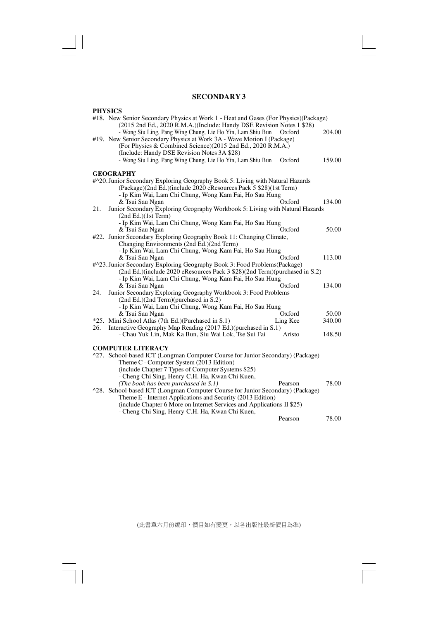$\sqrt{\frac{1}{\Gamma}}$ 

 $\mathbf{\underline{}}$ 

 $\frac{1}{\sqrt{2}}$ 

| <b>PHYSICS</b>                                                                                                                                      |          |        |
|-----------------------------------------------------------------------------------------------------------------------------------------------------|----------|--------|
| #18. New Senior Secondary Physics at Work 1 - Heat and Gases (For Physics) (Package)                                                                |          |        |
| (2015 2nd Ed., 2020 R.M.A.)(Include: Handy DSE Revision Notes 1 \$28)<br>- Wong Siu Ling, Pang Wing Chung, Lie Ho Yin, Lam Shiu Bun                 | Oxford   | 204.00 |
| #19. New Senior Secondary Physics at Work 3A - Wave Motion I (Package)                                                                              |          |        |
| (For Physics & Combined Science)(2015 2nd Ed., 2020 R.M.A.)                                                                                         |          |        |
| (Include: Handy DSE Revision Notes 3A \$28)<br>- Wong Siu Ling, Pang Wing Chung, Lie Ho Yin, Lam Shiu Bun                                           | Oxford   | 159.00 |
|                                                                                                                                                     |          |        |
| <b>GEOGRAPHY</b>                                                                                                                                    |          |        |
| #^20. Junior Secondary Exploring Geography Book 5: Living with Natural Hazards<br>(Package)(2nd Ed.)(include 2020 eResources Pack 5 \$28)(1st Term) |          |        |
| - Ip Kim Wai, Lam Chi Chung, Wong Kam Fai, Ho Sau Hung                                                                                              |          |        |
| & Tsui Sau Ngan                                                                                                                                     | Oxford   | 134.00 |
| Junior Secondary Exploring Geography Workbook 5: Living with Natural Hazards<br>21.                                                                 |          |        |
| (2nd Ed.)(1st Term)<br>- Ip Kim Wai, Lam Chi Chung, Wong Kam Fai, Ho Sau Hung                                                                       |          |        |
| & Tsui Sau Ngan                                                                                                                                     | Oxford   | 50.00  |
| #22. Junior Secondary Exploring Geography Book 11: Changing Climate,                                                                                |          |        |
| Changing Environments (2nd Ed.)(2nd Term)                                                                                                           |          |        |
| - Ip Kim Wai, Lam Chi Chung, Wong Kam Fai, Ho Sau Hung                                                                                              |          |        |
| & Tsui Sau Ngan<br>#^23. Junior Secondary Exploring Geography Book 3: Food Problems(Package)                                                        | Oxford   | 113.00 |
| (2nd Ed.)(include 2020 eResources Pack 3 \$28)(2nd Term)(purchased in S.2)                                                                          |          |        |
| - Ip Kim Wai, Lam Chi Chung, Wong Kam Fai, Ho Sau Hung                                                                                              |          |        |
| & Tsui Sau Ngan                                                                                                                                     | Oxford   | 134.00 |
| Junior Secondary Exploring Geography Workbook 3: Food Problems<br>24.<br>(2nd Ed.)(2nd Term)(purchased in S.2)                                      |          |        |
| - Ip Kim Wai, Lam Chi Chung, Wong Kam Fai, Ho Sau Hung                                                                                              |          |        |
| & Tsui Sau Ngan                                                                                                                                     | Oxford   | 50.00  |
| *25. Mini School Atlas (7th Ed.) (Purchased in S.1)                                                                                                 | Ling Kee | 340.00 |
| Interactive Geography Map Reading (2017 Ed.)(purchased in S.1)<br>26.<br>- Chau Yuk Lin, Mak Ka Bun, Siu Wai Lok, Tse Sui Fai                       | Aristo   | 148.50 |
|                                                                                                                                                     |          |        |
| <b>COMPUTER LITERACY</b>                                                                                                                            |          |        |
| ^27. School-based ICT (Longman Computer Course for Junior Secondary) (Package)                                                                      |          |        |
| Theme C - Computer System (2013 Edition)<br>(include Chapter 7 Types of Computer Systems \$25)                                                      |          |        |
| - Cheng Chi Sing, Henry C.H. Ha, Kwan Chi Kuen,                                                                                                     |          |        |
| (The book has been purchased in $S(1)$ )                                                                                                            | Pearson  | 78.00  |
| <sup>1</sup> 28. School-based ICT (Longman Computer Course for Junior Secondary) (Package)                                                          |          |        |
| Theme E - Internet Applications and Security (2013 Edition)<br>(include Chapter 6 More on Internet Services and Applications II \$25)               |          |        |
| - Cheng Chi Sing, Henry C.H. Ha, Kwan Chi Kuen,                                                                                                     |          |        |
|                                                                                                                                                     | Pearson  | 78.00  |
|                                                                                                                                                     |          |        |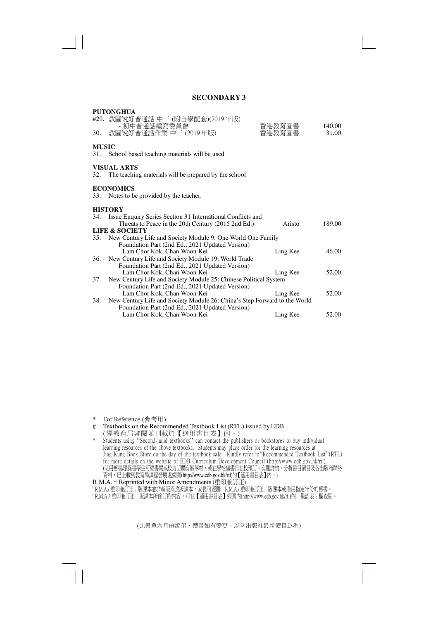### **PUTONGHUA** #29. 教圖說好普通話 中三 (附自學配套)(2019 年版) - 初中普通話編寫委員會 香港教育圖書 140.00<br>副說好普通話作業 中三 (2019年版) 香港教育圖書 31.00 30. 教圖說好普通話作業 中三 (2019年版) **MUSIC** 31. School based teaching materials will be used **VISUAL ARTS** 32. The teaching materials will be prepared by the school **ECONOMICS** 33. Notes to be provided by the teacher. **HISTORY** 34. Issue Enquiry Series Section 31 International Conflicts and Threats to Peace in the 20th Century (2015 2nd Ed.) Aristo 189.00 **LIFE & SOCIETY** 35. New Century Life and Society Module 9: One World One Family Foundation Part (2nd Ed., 2021 Updated Version) - Lam Chor Kok, Chan Woon Kei Ling Kee 46.00 36. New Century Life and Society Module 19: World Trade Foundation Part (2nd Ed., 2021 Updated Version) - Lam Chor Kok, Chan Woon Kei Ling Kee 52.00 37. New Century Life and Society Module 25: Chinese Political System Foundation Part (2nd Ed., 2021 Updated Version) - Lam Chor Kok, Chan Woon Kei Ling Kee 52.00 38. New Century Life and Society Module 26: China's Step Forward to the World Foundation Part (2nd Ed., 2021 Updated Version) - Lam Chor Kok, Chan Woon Kei Ling Kee 52.00

\* For Reference (參考用)<br># Textbooks on the Recom

Textbooks on the Recommended Textbook List (RTL) issued by EDB. ( 經教育局審閱並刊載於【適用書目表】內。)

^ Students using "Second-hand textbooks" can contact the publishers or bookstores to buy individual learning resources of the above textbooks. Students may place order for the learning resources at Jing Kung Book Store on the day of the textbook sale. Kindly refer to"Recommended Textbook List"(RTL) for more details on the website of EDB Curriculum Development Council (http://www.edb.gov.hk/rtl). (使用售書/環保書學生可經書局或校方訂購有關學材,或在學校售書日在校預訂。有關評情、分拆書目價目及各出版商聯絡 資料,已上載到教育局課程發展處網頁(http://www.edb.gov.hk/rtl)的【適用書目表】內。)

R.M.A. = Reprinted with Minor Amendments (重印兼訂正)

「R.M.A./ 重印兼訂正」版課本並非新版或改版課本,家長可選購「R.M.A./ 重印兼訂正」版課本或沿用指定年份的舊書。 「R.M.A./ 重印兼訂正」版課本所修訂的內容,可在【適用書目表】網頁內(http://www.edb.gov.hk/rtl)的「勘誤表」欄查閱。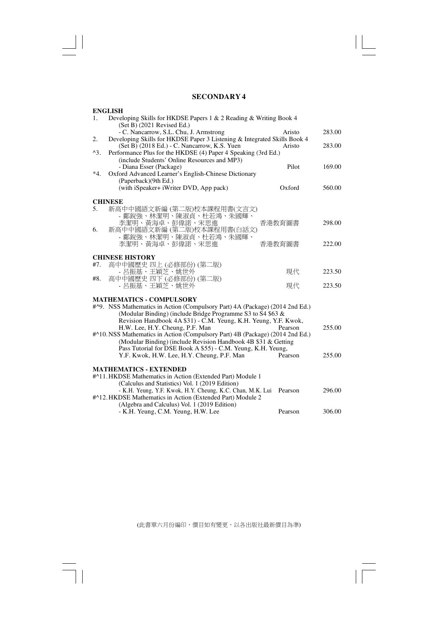$\overline{\overline{\Gamma}}$ 

 $\begin{array}{c|c} \hline \quad \quad & \quad \quad & \quad \quad \\ \hline \quad \quad & \quad \quad & \quad \quad \\ \hline \end{array}$ 

 $\overline{\overline{\phantom{a}}\phantom{a}}$ 

|               | <b>ENGLISH</b>                                                                                                          |         |        |
|---------------|-------------------------------------------------------------------------------------------------------------------------|---------|--------|
| 1.            | Developing Skills for HKDSE Papers 1 & 2 Reading & Writing Book 4                                                       |         |        |
|               | (Set B) (2021 Revised Ed.)                                                                                              |         |        |
|               | - C. Nancarrow, S.L. Chu, J. Armstrong                                                                                  | Aristo  | 283.00 |
| 2.            | Developing Skills for HKDSE Paper 3 Listening & Integrated Skills Book 4                                                |         |        |
|               | (Set B) (2018 Ed.) - C. Nancarrow, K.S. Yuen                                                                            | Aristo  | 283.00 |
| $^{\wedge}3.$ | Performance Plus for the HKDSE (4) Paper 4 Speaking (3rd Ed.)                                                           |         |        |
|               | (include Students' Online Resources and MP3)                                                                            |         |        |
|               | - Diana Esser (Package)                                                                                                 | Pilot   | 169.00 |
| $*4.$         | Oxford Advanced Learner's English-Chinese Dictionary                                                                    |         |        |
|               | (Paperback)(9th Ed.)                                                                                                    |         |        |
|               | (with iSpeaker+ iWriter DVD, App pack)                                                                                  | Oxford  | 560.00 |
|               |                                                                                                                         |         |        |
|               | <b>CHINESE</b>                                                                                                          |         |        |
| 5.            | 新高中中國語文新編 (第二版)校本課程用書(文言文)                                                                                              |         |        |
|               | - 鄺銳強、林潔明、陳淑貞、杜若鴻、朱國輝、                                                                                                  |         | 298.00 |
| 6.            | 李潔明、黃海卓、彭偉諾、宋思進<br>新高中中國語文新編 (第二版)校本課程用書(白話文)                                                                           | 香港教育圖書  |        |
|               | - 鄺銳強、林潔明、陳淑貞、杜若鴻、朱國輝、                                                                                                  |         |        |
|               | 李潔明、黃海卓、彭偉諾、宋思進                                                                                                         | 香港教育圖書  | 222.00 |
|               |                                                                                                                         |         |        |
|               | <b>CHINESE HISTORY</b>                                                                                                  |         |        |
| #7.           | 高中中國歷史 四上 (必修部份) (第二版)                                                                                                  |         |        |
|               | - 呂振基、王穎芝、姚世外                                                                                                           | 現代      | 223.50 |
| #8.           | 高中中國歷史 四下 (必修部份) (第二版)                                                                                                  |         |        |
|               | - 呂振基、王穎芝、姚世外                                                                                                           | 現代      | 223.50 |
|               |                                                                                                                         |         |        |
|               | <b>MATHEMATICS - COMPULSORY</b>                                                                                         |         |        |
|               | #^9. NSS Mathematics in Action (Compulsory Part) 4A (Package) (2014 2nd Ed.)                                            |         |        |
|               | (Modular Binding) (include Bridge Programme S3 to S4 \$63 &                                                             |         |        |
|               | Revision Handbook 4A \$31) - C.M. Yeung, K.H. Yeung, Y.F. Kwok,                                                         |         |        |
|               | H.W. Lee, H.Y. Cheung, P.F. Man                                                                                         | Pearson | 255.00 |
|               | #^10. NSS Mathematics in Action (Compulsory Part) 4B (Package) (2014 2nd Ed.)                                           |         |        |
|               | (Modular Binding) (include Revision Handbook 4B \$31 & Getting                                                          |         |        |
|               | Pass Tutorial for DSE Book A \$55) - C.M. Yeung, K.H. Yeung,                                                            |         |        |
|               | Y.F. Kwok, H.W. Lee, H.Y. Cheung, P.F. Man                                                                              | Pearson | 255.00 |
|               |                                                                                                                         |         |        |
|               | <b>MATHEMATICS - EXTENDED</b>                                                                                           |         |        |
|               | #^11. HKDSE Mathematics in Action (Extended Part) Module 1                                                              |         |        |
|               | (Calculus and Statistics) Vol. 1 (2019 Edition)                                                                         |         | 296.00 |
|               | - K.H. Yeung, Y.F. Kwok, H.Y. Cheung, K.C. Chan, M.K. Lui<br>#^12. HKDSE Mathematics in Action (Extended Part) Module 2 | Pearson |        |
|               | (Algebra and Calculus) Vol. 1 (2019 Edition)                                                                            |         |        |
|               | - K.H. Yeung, C.M. Yeung, H.W. Lee                                                                                      | Pearson | 306.00 |
|               |                                                                                                                         |         |        |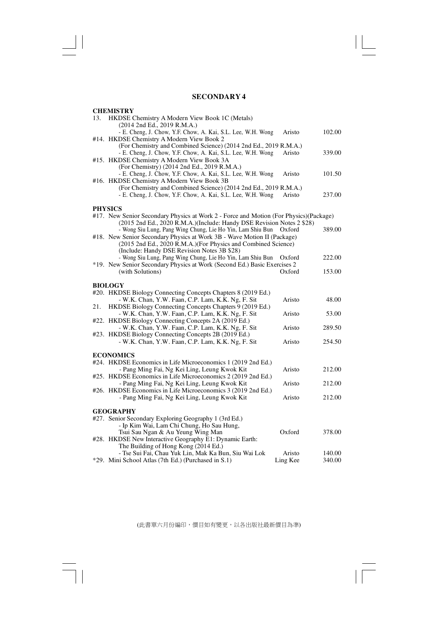$\sqrt{\overline{\phantom{m}}\phantom{m}}$ 

 $\mathbf{\underline{}}$ 

 $\overline{\mathbb{R}}$ 

|     | <b>CHEMISTRY</b>                                                                       |          |        |
|-----|----------------------------------------------------------------------------------------|----------|--------|
| 13. | HKDSE Chemistry A Modern View Book 1C (Metals)                                         |          |        |
|     | (2014 2nd Ed., 2019 R.M.A.)                                                            |          |        |
|     | - E. Cheng, J. Chow, Y.F. Chow, A. Kai, S.L. Lee, W.H. Wong                            | Aristo   | 102.00 |
|     | #14. HKDSE Chemistry A Modern View Book 2                                              |          |        |
|     | (For Chemistry and Combined Science) (2014 2nd Ed., 2019 R.M.A.)                       |          |        |
|     | - E. Cheng, J. Chow, Y.F. Chow, A. Kai, S.L. Lee, W.H. Wong                            | Aristo   | 339.00 |
|     | #15. HKDSE Chemistry A Modern View Book 3A                                             |          |        |
|     | (For Chemistry) (2014 2nd Ed., 2019 R.M.A.)                                            |          |        |
|     | - E. Cheng, J. Chow, Y.F. Chow, A. Kai, S.L. Lee, W.H. Wong                            | Aristo   | 101.50 |
|     | #16. HKDSE Chemistry A Modern View Book 3B                                             |          |        |
|     | (For Chemistry and Combined Science) (2014 2nd Ed., 2019 R.M.A.)                       |          |        |
|     | - E. Cheng, J. Chow, Y.F. Chow, A. Kai, S.L. Lee, W.H. Wong                            | Aristo   | 237.00 |
|     | <b>PHYSICS</b>                                                                         |          |        |
|     | #17. New Senior Secondary Physics at Work 2 - Force and Motion (For Physics) (Package) |          |        |
|     | (2015 2nd Ed., 2020 R.M.A.)(Include: Handy DSE Revision Notes 2 \$28)                  |          |        |
|     | - Wong Siu Lung, Pang Wing Chung, Lie Ho Yin, Lam Shiu Bun                             | Oxford   | 389.00 |
|     | #18. New Senior Secondary Physics at Work 3B - Wave Motion II (Package)                |          |        |
|     | (2015 2nd Ed., 2020 R.M.A.)(For Physics and Combined Science)                          |          |        |
|     | (Include: Handy DSE Revision Notes 3B \$28)                                            |          |        |
|     | - Wong Siu Lung, Pang Wing Chung, Lie Ho Yin, Lam Shiu Bun                             | Oxford   | 222.00 |
|     | *19. New Senior Secondary Physics at Work (Second Ed.) Basic Exercises 2               |          |        |
|     | (with Solutions)                                                                       | Oxford   | 153.00 |
|     |                                                                                        |          |        |
|     | <b>BIOLOGY</b>                                                                         |          |        |
|     | #20. HKDSE Biology Connecting Concepts Chapters 8 (2019 Ed.)                           |          |        |
|     | - W.K. Chan, Y.W. Faan, C.P. Lam, K.K. Ng, F. Sit                                      | Aristo   | 48.00  |
| 21. | HKDSE Biology Connecting Concepts Chapters 9 (2019 Ed.)                                |          |        |
|     | - W.K. Chan, Y.W. Faan, C.P. Lam, K.K. Ng, F. Sit                                      | Aristo   | 53.00  |
|     | #22. HKDSE Biology Connecting Concepts 2A (2019 Ed.)                                   |          |        |
|     | - W.K. Chan, Y.W. Faan, C.P. Lam, K.K. Ng, F. Sit                                      | Aristo   | 289.50 |
|     | #23. HKDSE Biology Connecting Concepts 2B (2019 Ed.)                                   |          |        |
|     | - W.K. Chan, Y.W. Faan, C.P. Lam, K.K. Ng, F. Sit                                      | Aristo   | 254.50 |
|     |                                                                                        |          |        |
|     | <b>ECONOMICS</b><br>#24. HKDSE Economics in Life Microeconomics 1 (2019 2nd Ed.)       |          |        |
|     | - Pang Ming Fai, Ng Kei Ling, Leung Kwok Kit                                           | Aristo   | 212.00 |
|     | #25. HKDSE Economics in Life Microeconomics 2 (2019 2nd Ed.)                           |          |        |
|     | - Pang Ming Fai, Ng Kei Ling, Leung Kwok Kit                                           | Aristo   | 212.00 |
|     | #26. HKDSE Economics in Life Microeconomics 3 (2019 2nd Ed.)                           |          |        |
|     | - Pang Ming Fai, Ng Kei Ling, Leung Kwok Kit                                           | Aristo   | 212.00 |
|     |                                                                                        |          |        |
|     | <b>GEOGRAPHY</b>                                                                       |          |        |
|     | #27. Senior Secondary Exploring Geography 1 (3rd Ed.)                                  |          |        |
|     | - Ip Kim Wai, Lam Chi Chung, Ho Sau Hung,                                              |          |        |
|     | Tsui Sau Ngan & Au Yeung Wing Man                                                      | Oxford   | 378.00 |
|     | #28. HKDSE New Interactive Geography E1: Dynamic Earth:                                |          |        |
|     | The Building of Hong Kong (2014 Ed.)                                                   |          |        |
|     | - Tse Sui Fai, Chau Yuk Lin, Mak Ka Bun, Siu Wai Lok                                   | Aristo   | 140.00 |
|     | *29. Mini School Atlas (7th Ed.) (Purchased in S.1)                                    | Ling Kee | 340.00 |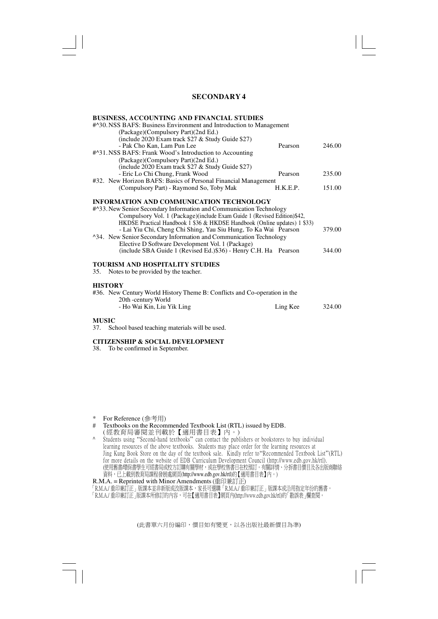#### **BUSINESS, ACCOUNTING AND FINANCIAL STUDIES**

|     | #^30. NSS BAFS: Business Environment and Introduction to Management       |          |        |
|-----|---------------------------------------------------------------------------|----------|--------|
|     | (Package)(Compulsory Part)(2nd Ed.)                                       |          |        |
|     | (include 2020 Exam track $$27 &$ Study Guide $$27)$ )                     |          |        |
|     | - Pak Cho Kan, Lam Pun Lee                                                | Pearson  | 246.00 |
|     | #^31.NSS BAFS: Frank Wood's Introduction to Accounting                    |          |        |
|     | (Package)(Compulsory Part)(2nd Ed.)                                       |          |        |
|     | (include 2020 Exam track $$27 &$ Study Guide $$27)$ )                     |          |        |
|     | - Eric Lo Chi Chung, Frank Wood                                           | Pearson  | 235.00 |
|     | #32. New Horizon BAFS: Basics of Personal Financial Management            |          |        |
|     | (Compulsory Part) - Raymond So, Toby Mak                                  | H.K.E.P. | 151.00 |
|     | <b>INFORMATION AND COMMUNICATION TECHNOLOGY</b>                           |          |        |
|     | #^33. New Senior Secondary Information and Communication Technology       |          |        |
|     | Compulsory Vol. 1 (Package)(include Exam Guide 1 (Revised Edition)\$42,   |          |        |
|     | HKDSE Practical Handbook 1 \$36 & HKDSE Handbook (Online updates) 1 \$33) |          |        |
|     | - Lai Yiu Chi, Cheng Chi Shing, Yau Siu Hung, To Ka Wai Pearson           |          | 379.00 |
|     | ^34. New Senior Secondary Information and Communication Technology        |          |        |
|     | Elective D Software Development Vol. 1 (Package)                          |          |        |
|     | (include SBA Guide 1 (Revised Ed.)\$36) - Henry C.H. Ha Pearson           |          | 344.00 |
|     |                                                                           |          |        |
|     | <b>TOURISM AND HOSPITALITY STUDIES</b>                                    |          |        |
| 35. | Notes to be provided by the teacher.                                      |          |        |
|     |                                                                           |          |        |

### **HISTORY**

| піэтокі                                                                   |          |        |
|---------------------------------------------------------------------------|----------|--------|
| #36. New Century World History Theme B: Conflicts and Co-operation in the |          |        |
| 20th -century World                                                       |          |        |
| - Ho Wai Kin, Liu Yik Ling                                                | Ling Kee | 324.00 |
|                                                                           |          |        |

#### **MUSIC**

37. School based teaching materials will be used.

### **CITIZENSHIP & SOCIAL DEVELOPMENT**

38. To be confirmed in September.

- \* For Reference (參考用)
- # Textbooks on the Recommended Textbook List (RTL) issued by EDB.
- ( 經教育局審閱並刊載於【適用書目表】內。)
- ^ Students using "Second-hand textbooks" can contact the publishers or bookstores to buy individual learning resources of the above textbooks. Students may place order for the learning resources at Jing Kung Book Store on the day of the textbook sale. Kindly refer to"Recommended Textbook List"(RTL) for more details on the website of EDB Curriculum Development Council (http://www.edb.gov.hk/rtl). (使用售書/環保書學生可經書局或校方訂購有關學材,或在學校售書日在校預訂。有關評情、分拆書目價目及各出版商聯絡 資料,已上載到教育局課程發展處網貝(http://www.edb.gov.hk/rtl)的【適用書目表】內。)<br>R.M.A. = Reprinted with Minor Amendments (重印兼訂正)

「R.M.A./ 重印兼訂正」版課本並非新版或改版課本,豕長可選購「R.M.A./ 重印兼訂正」版課本或冶用指定年份的售書。

「R.M.A./ 重印兼訂正」版課本所修訂的內容,可在【適用書目表】網貝內(http://www.edb.gov.hk/rtl)的「勘誤表」欄查閱。」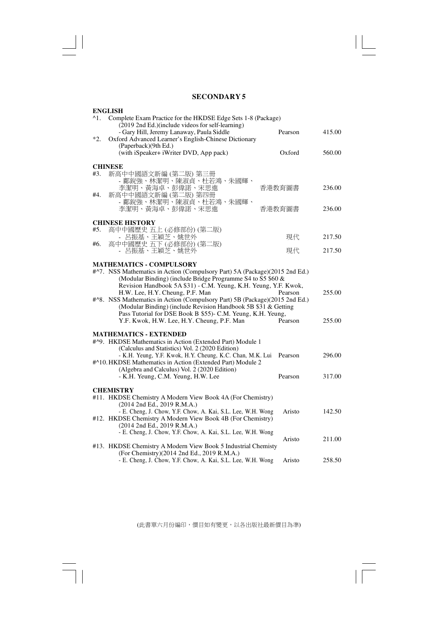$\sqrt{\frac{1}{\sqrt{2}}}$ 

 $\mathbf{\underline{}}$ 

 $\overline{\mathbb{R}}$ 

|       | <b>ENGLISH</b>                                                                                             |         |        |
|-------|------------------------------------------------------------------------------------------------------------|---------|--------|
| ^1.   | Complete Exam Practice for the HKDSE Edge Sets 1-8 (Package)                                               |         |        |
|       | (2019 2nd Ed.) (include videos for self-learning)                                                          |         |        |
|       | - Gary Hill, Jeremy Lanaway, Paula Siddle                                                                  | Pearson | 415.00 |
| $*2.$ | Oxford Advanced Learner's English-Chinese Dictionary                                                       |         |        |
|       | (Paperback)(9th Ed.)                                                                                       |         |        |
|       | (with iSpeaker+ iWriter DVD, App pack)                                                                     | Oxford  | 560.00 |
|       |                                                                                                            |         |        |
|       | <b>CHINESE</b>                                                                                             |         |        |
| #3.   | 新高中中國語文新編 (第二版) 第三冊                                                                                        |         |        |
|       | - 鄺銳強、林潔明、陳淑貞、杜若鴻、朱國輝、                                                                                     |         |        |
|       | 李潔明、黃海卓、彭偉諾、宋思進                                                                                            | 香港教育圖書  | 236.00 |
| #4.   | 新高中中國語文新編 (第二版) 第四冊                                                                                        |         |        |
|       | - 鄺銳強、林潔明、陳淑貞、杜若鴻、朱國輝、                                                                                     |         |        |
|       | 李潔明、黃海卓、彭偉諾、宋思進                                                                                            | 香港教育圖書  | 236.00 |
|       | <b>CHINESE HISTORY</b>                                                                                     |         |        |
| #5.   | 高中中國歷史 五上 (必修部份) (第二版)                                                                                     |         |        |
|       | - 呂振基、王穎芝、姚世外                                                                                              | 現代      | 217.50 |
| #6.   | 高中中國歷史 五下 (必修部份) (第二版)                                                                                     |         |        |
|       | - 呂振基、王穎芝、姚世外                                                                                              | 現代      | 217.50 |
|       |                                                                                                            |         |        |
|       | <b>MATHEMATICS - COMPULSORY</b>                                                                            |         |        |
|       | #^7. NSS Mathematics in Action (Compulsory Part) 5A (Package)(2015 2nd Ed.)                                |         |        |
|       | (Modular Binding) (include Bridge Programme S4 to S5 \$60 &                                                |         |        |
|       | Revision Handbook 5A \$31) - C.M. Yeung, K.H. Yeung, Y.F. Kwok,                                            |         |        |
|       | H.W. Lee, H.Y. Cheung, P.F. Man                                                                            | Pearson | 255.00 |
|       | #^8. NSS Mathematics in Action (Compulsory Part) 5B (Package)(2015 2nd Ed.)                                |         |        |
|       | (Modular Binding) (include Revision Handbook 5B \$31 & Getting                                             |         |        |
|       | Pass Tutorial for DSE Book B \$55)- C.M. Yeung, K.H. Yeung,                                                |         |        |
|       | Y.F. Kwok, H.W. Lee, H.Y. Cheung, P.F. Man                                                                 | Pearson | 255.00 |
|       |                                                                                                            |         |        |
|       | <b>MATHEMATICS - EXTENDED</b>                                                                              |         |        |
|       | #^9. HKDSE Mathematics in Action (Extended Part) Module 1                                                  |         |        |
|       | (Calculus and Statistics) Vol. 2 (2020 Edition)                                                            |         |        |
|       | - K.H. Yeung, Y.F. Kwok, H.Y. Cheung, K.C. Chan, M.K. Lui                                                  | Pearson | 296.00 |
|       | #^10. HKDSE Mathematics in Action (Extended Part) Module 2<br>(Algebra and Calculus) Vol. 2 (2020 Edition) |         |        |
|       | - K.H. Yeung, C.M. Yeung, H.W. Lee                                                                         | Pearson | 317.00 |
|       |                                                                                                            |         |        |
|       | <b>CHEMISTRY</b>                                                                                           |         |        |
|       | #11. HKDSE Chemistry A Modern View Book 4A (For Chemistry)                                                 |         |        |
|       | (2014 2nd Ed., 2019 R.M.A.)                                                                                |         |        |
|       | - E. Cheng, J. Chow, Y.F. Chow, A. Kai, S.L. Lee, W.H. Wong                                                | Aristo  | 142.50 |
|       | #12. HKDSE Chemistry A Modern View Book 4B (For Chemistry)                                                 |         |        |
|       | $(2014 \text{ 2nd Ed., } 2019 \text{ R.M.A.})$                                                             |         |        |
|       | - E. Cheng, J. Chow, Y.F. Chow, A. Kai, S.L. Lee, W.H. Wong                                                |         |        |
|       |                                                                                                            | Aristo  | 211.00 |
|       | #13. HKDSE Chemistry A Modern View Book 5 Industrial Chemisty                                              |         |        |
|       | (For Chemistry)(2014 2nd Ed., 2019 R.M.A.)                                                                 |         |        |
|       | - E. Cheng, J. Chow, Y.F. Chow, A. Kai, S.L. Lee, W.H. Wong                                                | Aristo  | 258.50 |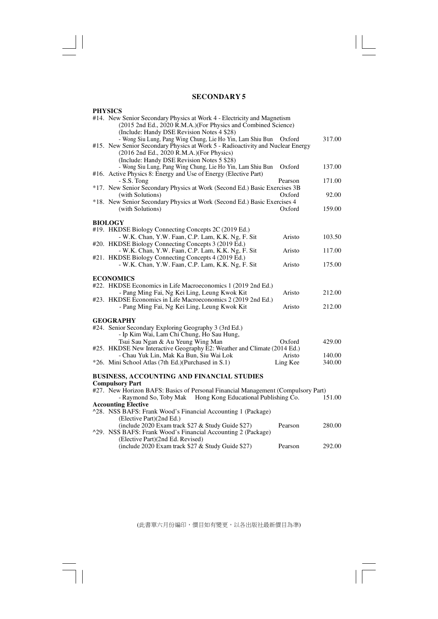$\lfloor$ 

 $\overline{1}$ 

 $\overline{\neg}$ 

| <b>PHYSICS</b>                                                                                                                                     |          |        |
|----------------------------------------------------------------------------------------------------------------------------------------------------|----------|--------|
| #14. New Senior Secondary Physics at Work 4 - Electricity and Magnetism                                                                            |          |        |
| (2015 2nd Ed., 2020 R.M.A.)(For Physics and Combined Science)                                                                                      |          |        |
| (Include: Handy DSE Revision Notes 4 \$28)                                                                                                         |          |        |
| - Wong Siu Lung, Pang Wing Chung, Lie Ho Yin, Lam Shiu Bun                                                                                         | Oxford   | 317.00 |
| #15. New Senior Secondary Physics at Work 5 - Radioactivity and Nuclear Energy                                                                     |          |        |
| (2016 2nd Ed., 2020 R.M.A.)(For Physics)                                                                                                           |          |        |
| (Include: Handy DSE Revision Notes 5 \$28)                                                                                                         |          |        |
| - Wong Siu Lung, Pang Wing Chung, Lie Ho Yin, Lam Shiu Bun                                                                                         | Oxford   | 137.00 |
| #16. Active Physics 8: Energy and Use of Energy (Elective Part)                                                                                    |          |        |
| $-S.S.$ Tong                                                                                                                                       | Pearson  | 171.00 |
| *17. New Senior Secondary Physics at Work (Second Ed.) Basic Exercises 3B                                                                          |          |        |
| (with Solutions)                                                                                                                                   | Oxford   | 92.00  |
| *18. New Senior Secondary Physics at Work (Second Ed.) Basic Exercises 4                                                                           |          |        |
| (with Solutions)                                                                                                                                   | Oxford   | 159.00 |
| <b>BIOLOGY</b>                                                                                                                                     |          |        |
| #19. HKDSE Biology Connecting Concepts 2C (2019 Ed.)                                                                                               |          |        |
| - W.K. Chan, Y.W. Faan, C.P. Lam, K.K. Ng, F. Sit                                                                                                  | Aristo   | 103.50 |
| #20. HKDSE Biology Connecting Concepts 3 (2019 Ed.)                                                                                                |          |        |
| - W.K. Chan, Y.W. Faan, C.P. Lam, K.K. Ng, F. Sit                                                                                                  | Aristo   | 117.00 |
| #21. HKDSE Biology Connecting Concepts 4 (2019 Ed.)                                                                                                |          |        |
| - W.K. Chan, Y.W. Faan, C.P. Lam, K.K. Ng, F. Sit                                                                                                  | Aristo   | 175.00 |
|                                                                                                                                                    |          |        |
| <b>ECONOMICS</b>                                                                                                                                   |          |        |
| #22. HKDSE Economics in Life Macroeconomics 1 (2019 2nd Ed.)                                                                                       |          |        |
| - Pang Ming Fai, Ng Kei Ling, Leung Kwok Kit                                                                                                       | Aristo   | 212.00 |
| #23. HKDSE Economics in Life Macroeconomics 2 (2019 2nd Ed.)                                                                                       |          |        |
| - Pang Ming Fai, Ng Kei Ling, Leung Kwok Kit                                                                                                       | Aristo   | 212.00 |
|                                                                                                                                                    |          |        |
| <b>GEOGRAPHY</b>                                                                                                                                   |          |        |
| #24. Senior Secondary Exploring Geography 3 (3rd Ed.)                                                                                              |          |        |
| - Ip Kim Wai, Lam Chi Chung, Ho Sau Hung,                                                                                                          |          |        |
| Tsui Sau Ngan & Au Yeung Wing Man                                                                                                                  | Oxford   | 429.00 |
| #25. HKDSE New Interactive Geography E2: Weather and Climate (2014 Ed.)                                                                            |          |        |
| - Chau Yuk Lin, Mak Ka Bun, Siu Wai Lok                                                                                                            | Aristo   | 140.00 |
| *26. Mini School Atlas (7th Ed.) (Purchased in S.1)                                                                                                | Ling Kee | 340.00 |
|                                                                                                                                                    |          |        |
| <b>BUSINESS, ACCOUNTING AND FINANCIAL STUDIES</b>                                                                                                  |          |        |
| <b>Compulsory Part</b>                                                                                                                             |          |        |
| #27. New Horizon BAFS: Basics of Personal Financial Management (Compulsory Part)<br>- Raymond So, Toby Mak<br>Hong Kong Educational Publishing Co. |          | 151.00 |
| <b>Accounting Elective</b>                                                                                                                         |          |        |
| ^28. NSS BAFS: Frank Wood's Financial Accounting 1 (Package)                                                                                       |          |        |
| (Elective Part)(2nd Ed.)                                                                                                                           |          |        |
| (include 2020 Exam track \$27 & Study Guide \$27)                                                                                                  | Pearson  | 280.00 |
| ^29. NSS BAFS: Frank Wood's Financial Accounting 2 (Package)                                                                                       |          |        |
| (Elective Part) (2nd Ed. Revised)                                                                                                                  |          |        |
| (include 2020 Exam track \$27 & Study Guide \$27)                                                                                                  | Pearson  | 292.00 |
|                                                                                                                                                    |          |        |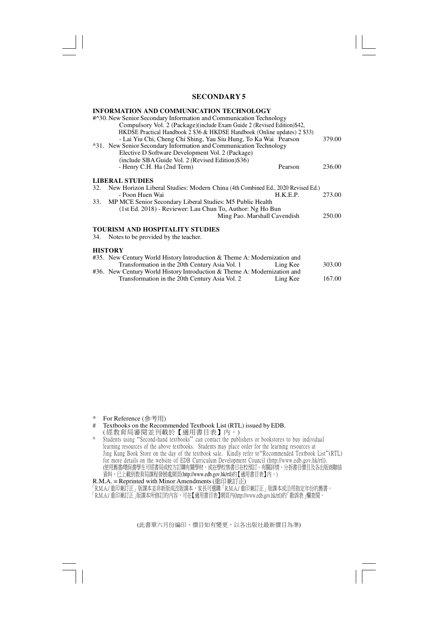#### **INFORMATION AND COMMUNICATION TECHNOLOGY**

|     | <b>HISTORY</b>                                                                     |        |
|-----|------------------------------------------------------------------------------------|--------|
| 34. | Notes to be provided by the teacher.                                               |        |
|     | <b>TOURISM AND HOSPITALITY STUDIES</b>                                             |        |
|     | Ming Pao. Marshall Cavendish                                                       | 250.00 |
|     | (1st Ed. 2018) - Reviewer: Lau Chun To, Author: Ng Ho Bun                          |        |
| 33. | MP MCE Senior Secondary Liberal Studies: M5 Public Health                          |        |
|     | - Poon Huen Wai<br>H.K.E.P.                                                        | 273.00 |
|     | 32. New Horizon Liberal Studies: Modern China (4th Combined Ed., 2020 Revised Ed.) |        |
|     | <b>LIBERAL STUDIES</b>                                                             |        |
|     | - Henry C.H. Ha (2nd Term)<br>Pearson                                              | 236.00 |
|     | (include SBA Guide Vol. 2 (Revised Edition)\$36)                                   |        |
|     | Elective D Software Development Vol. 2 (Package)                                   |        |
|     | ^31. New Senior Secondary Information and Communication Technology                 |        |
|     | - Lai Yiu Chi, Cheng Chi Shing, Yau Siu Hung, To Ka Wai Pearson                    | 379.00 |
|     | HKDSE Practical Handbook 2 \$36 & HKDSE Handbook (Online updates) 2 \$33)          |        |
|     | Compulsory Vol. 2 (Package) (include Exam Guide 2 (Revised Edition)\$42,           |        |
|     | #^30. New Senior Secondary Information and Communication Technology                |        |

| #35. New Century World History Introduction & Theme A: Modernization and |          |        |
|--------------------------------------------------------------------------|----------|--------|
| Transformation in the 20th Century Asia Vol. 1                           | Ling Kee | 303.00 |
| #36. New Century World History Introduction & Theme A: Modernization and |          |        |
| Transformation in the 20th Century Asia Vol. 2                           | Ling Kee | 167.00 |

- \* For Reference (參考用)<br># Textbooks on the Recom
- Textbooks on the Recommended Textbook List (RTL) issued by EDB.
- ( 經教育局審閱並刊載於【適用書目表】內。)
- ^ Students using "Second-hand textbooks" can contact the publishers or bookstores to buy individual learning resources of the above textbooks. Students may place order for the learning resources at Jing Kung Book Store on the day of the textbook sale. Kindly refer to"Recommended Textbook List"(RTL) for more details on the website of EDB Curriculum Development Council (http://www.edb.gov.hk/rtl). (使用售書/環保書學生可經書局或校方訂購有關學材,或在學校售書日在校預訂。有關評情、分拆書目價目及各出版商聯絡 資料,已上載到教育局課程發展處網頁(http://www.edb.gov.hk/rtl)的【適用書目表】內。)

R.M.A. = Reprinted with Minor Amendments (重印兼訂正)

「R.M.A./ 重印兼訂正」版課本並非新版或改版課本,豕長可選購「R.M.A./ 重印兼訂正」版課本或冶用指定年份的售書。

「R.M.A./ 重印兼訂正」版課本所修訂的內容,可在【適用書目表】網貝內(http://www.edb.gov.hk/rtl)的「勘誤表」欄查閱。」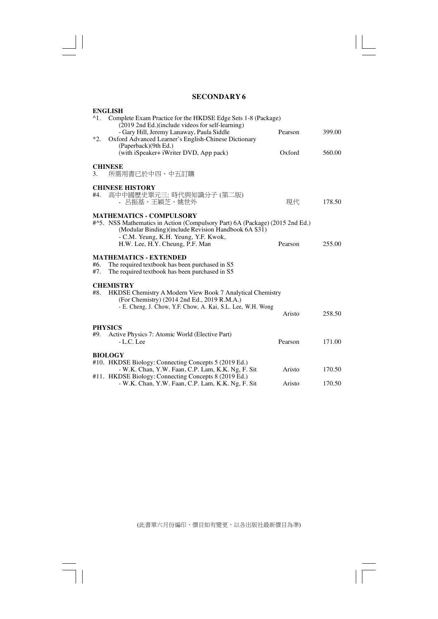$\sqrt{2}$ 

 $\begin{array}{c|c} & \multicolumn{3}{c|}{\phantom{-}} \\ \hline \multicolumn{3}{c|}{\phantom{-}} \multicolumn{3}{c|}{\phantom{-}} \multicolumn{3}{c|}{\phantom{-}} \multicolumn{3}{c|}{\phantom{-}} \multicolumn{3}{c|}{\phantom{-}} \multicolumn{3}{c|}{\phantom{-}} \multicolumn{3}{c|}{\phantom{-}} \multicolumn{3}{c|}{\phantom{-}} \multicolumn{3}{c|}{\phantom{-}} \multicolumn{3}{c|}{\phantom{-}} \multicolumn{3}{c|}{\phantom{-}} \multicolumn{3}{c|}{\phantom{-}} \multicolumn{3}{c|}{\$ 

 $\overline{\overline{\overline{1}}}$ 

| <b>ENGLISH</b><br><sup>^1</sup> 1. Complete Exam Practice for the HKDSE Edge Sets 1-8 (Package)                                                                                                                  |         |        |
|------------------------------------------------------------------------------------------------------------------------------------------------------------------------------------------------------------------|---------|--------|
| (2019 2nd Ed.)(include videos for self-learning)<br>- Gary Hill, Jeremy Lanaway, Paula Siddle<br>$*2.$<br>Oxford Advanced Learner's English-Chinese Dictionary                                                   | Pearson | 399.00 |
| (Paperback)(9th Ed.)<br>(with iSpeaker+ iWriter DVD, App pack)                                                                                                                                                   | Oxford  | 560.00 |
| <b>CHINESE</b><br>所需用書已於中四、中五訂購<br>3.                                                                                                                                                                            |         |        |
| <b>CHINESE HISTORY</b><br>高中中國歷史單元三:時代與知識分子 (第二版)<br>#4.                                                                                                                                                         |         |        |
| - 呂振基、王穎芝、姚世外                                                                                                                                                                                                    | 現代      | 178.50 |
| <b>MATHEMATICS - COMPULSORY</b><br>#^5. NSS Mathematics in Action (Compulsory Part) 6A (Package) (2015 2nd Ed.)<br>(Modular Binding) (include Revision Handbook 6A \$31)<br>- C.M. Yeung, K.H. Yeung, Y.F. Kwok, |         |        |
| H.W. Lee, H.Y. Cheung, P.F. Man                                                                                                                                                                                  | Pearson | 255.00 |
| <b>MATHEMATICS - EXTENDED</b><br>#6.<br>The required textbook has been purchased in S5<br>The required textbook has been purchased in S5<br>#7.                                                                  |         |        |
| <b>CHEMISTRY</b>                                                                                                                                                                                                 |         |        |
| HKDSE Chemistry A Modern View Book 7 Analytical Chemistry<br>#8.<br>(For Chemistry) (2014 2nd Ed., 2019 R.M.A.)                                                                                                  |         |        |
| - E. Cheng, J. Chow, Y.F. Chow, A. Kai, S.L. Lee, W.H. Wong                                                                                                                                                      | Aristo  | 258.50 |
| <b>PHYSICS</b>                                                                                                                                                                                                   |         |        |
| Active Physics 7: Atomic World (Elective Part)<br>#9.<br>$-L.C.$ Lee                                                                                                                                             | Pearson | 171.00 |
| <b>BIOLOGY</b>                                                                                                                                                                                                   |         |        |
| #10. HKDSE Biology: Connecting Concepts 5 (2019 Ed.)<br>- W.K. Chan, Y.W. Faan, C.P. Lam, K.K. Ng, F. Sit<br>#11. HKDSE Biology: Connecting Concepts 8 (2019 Ed.)                                                | Aristo  | 170.50 |
| - W.K. Chan, Y.W. Faan, C.P. Lam, K.K. Ng, F. Sit                                                                                                                                                                | Aristo  | 170.50 |